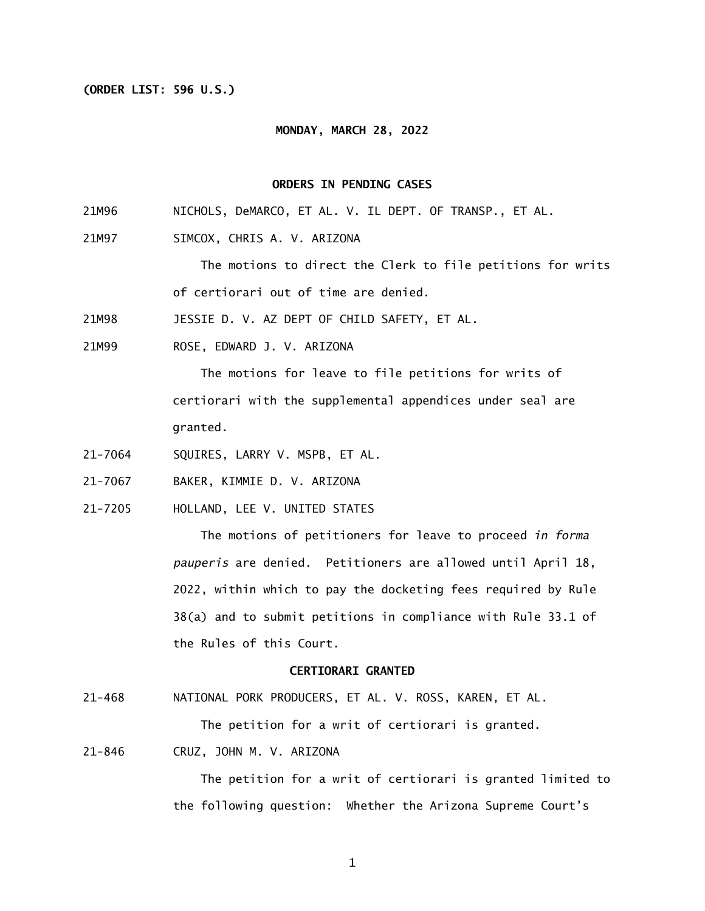## **(ORDER LIST: 596 U.S.)**

### **MONDAY, MARCH 28, 2022**

## **ORDERS IN PENDING CASES**

- 21M96 NICHOLS, DeMARCO, ET AL. V. IL DEPT. OF TRANSP., ET AL.
- 21M97 SIMCOX, CHRIS A. V. ARIZONA

 The motions to direct the Clerk to file petitions for writs of certiorari out of time are denied.

21M98 JESSIE D. V. AZ DEPT OF CHILD SAFETY, ET AL.

21M99 ROSE, EDWARD J. V. ARIZONA

> The motions for leave to file petitions for writs of certiorari with the supplemental appendices under seal are granted.

- 21-7064 SQUIRES, LARRY V. MSPB, ET AL.
- 21-7067 BAKER, KIMMIE D. V. ARIZONA
- 21-7205 HOLLAND, LEE V. UNITED STATES

 The motions of petitioners for leave to proceed *in forma pauperis* are denied. Petitioners are allowed until April 18, 2022, within which to pay the docketing fees required by Rule 38(a) and to submit petitions in compliance with Rule 33.1 of the Rules of this Court.

## **CERTIORARI GRANTED**

 $21 - 468$ NATIONAL PORK PRODUCERS, ET AL. V. ROSS, KAREN, ET AL.

The petition for a writ of certiorari is granted.

 $21 - 846$ CRUZ, JOHN M. V. ARIZONA

> The petition for a writ of certiorari is granted limited to the following question: Whether the Arizona Supreme Court's

> > 1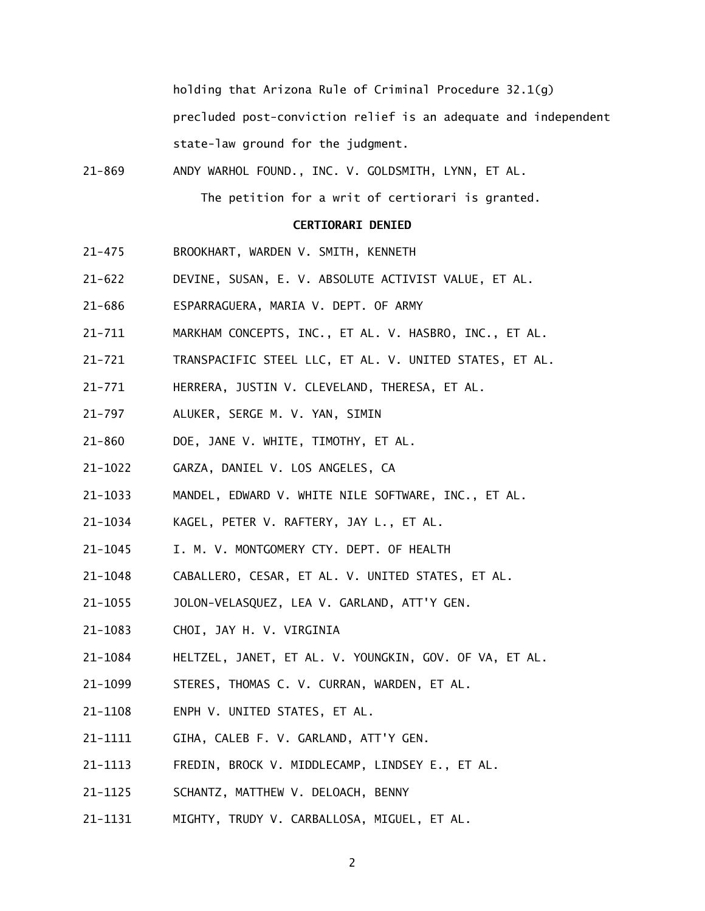holding that Arizona Rule of Criminal Procedure 32.1(g) precluded post-conviction relief is an adequate and independent state-law ground for the judgment.

 $21 - 869$ ANDY WARHOL FOUND., INC. V. GOLDSMITH, LYNN, ET AL.

The petition for a writ of certiorari is granted.

### **CERTIORARI DENIED**

- $21 475$ 21-475 BROOKHART, WARDEN V. SMITH, KENNETH
- $21 622$ DEVINE, SUSAN, E. V. ABSOLUTE ACTIVIST VALUE, ET AL.
- $21 686$ 21-686 ESPARRAGUERA, MARIA V. DEPT. OF ARMY
- $21 711$ MARKHAM CONCEPTS, INC., ET AL. V. HASBRO, INC., ET AL.
- $21 721$ TRANSPACIFIC STEEL LLC, ET AL. V. UNITED STATES, ET AL.
- $21 771$ HERRERA, JUSTIN V. CLEVELAND, THERESA, ET AL.
- $21 797$ ALUKER, SERGE M. V. YAN, SIMIN
- $21 860$ DOE, JANE V. WHITE, TIMOTHY, ET AL.
- 21-1022 GARZA, DANIEL V. LOS ANGELES, CA
- 21-1033 MANDEL, EDWARD V. WHITE NILE SOFTWARE, INC., ET AL.
- 21-1034 KAGEL, PETER V. RAFTERY, JAY L., ET AL.
- 21-1045 I. M. V. MONTGOMERY CTY. DEPT. OF HEALTH
- 21-1048 CABALLERO, CESAR, ET AL. V. UNITED STATES, ET AL.
- 21-1055 JOLON-VELASQUEZ, LEA V. GARLAND, ATT'Y GEN.
- 21-1083 CHOI, JAY H. V. VIRGINIA
- 21-1084 HELTZEL, JANET, ET AL. V. YOUNGKIN, GOV. OF VA, ET AL.
- 21-1099 STERES, THOMAS C. V. CURRAN, WARDEN, ET AL.
- 21-1108 ENPH V. UNITED STATES, ET AL.
- 21-1111 GIHA, CALEB F. V. GARLAND, ATT'Y GEN.
- 21-1113 FREDIN, BROCK V. MIDDLECAMP, LINDSEY E., ET AL.
- 21-1125 SCHANTZ, MATTHEW V. DELOACH, BENNY
- 21-1131 MIGHTY, TRUDY V. CARBALLOSA, MIGUEL, ET AL.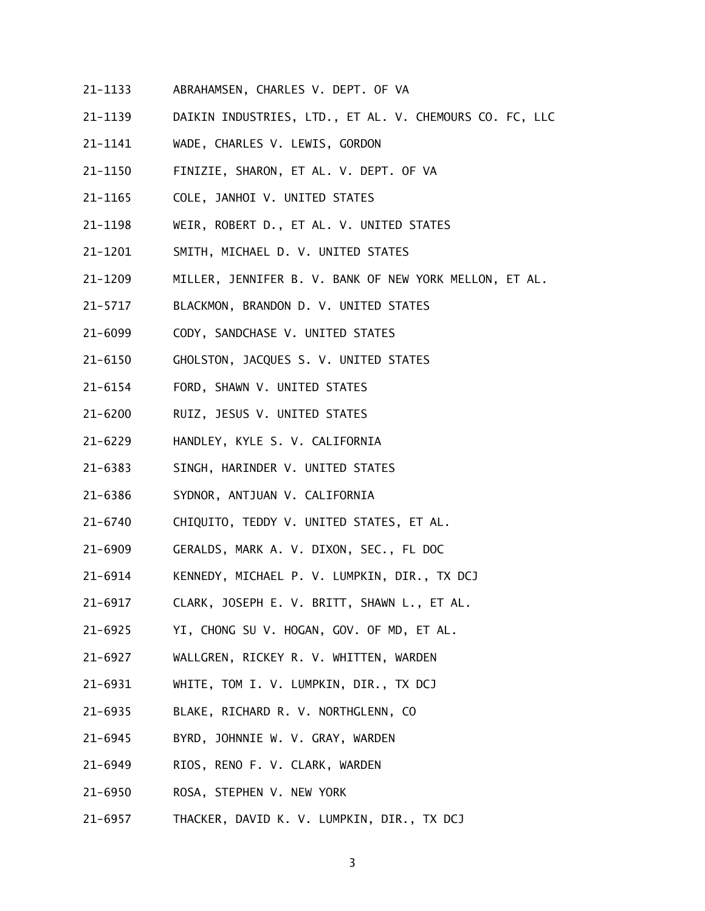- 21-1133 ABRAHAMSEN, CHARLES V. DEPT. OF VA
- 21-1139 DAIKIN INDUSTRIES, LTD., ET AL. V. CHEMOURS CO. FC, LLC
- 21-1141 WADE, CHARLES V. LEWIS, GORDON
- 21-1150 FINIZIE, SHARON, ET AL. V. DEPT. OF VA
- 21-1165 COLE, JANHOI V. UNITED STATES
- 21-1198 WEIR, ROBERT D., ET AL. V. UNITED STATES
- 21-1201 SMITH, MICHAEL D. V. UNITED STATES
- 21-1209 MILLER, JENNIFER B. V. BANK OF NEW YORK MELLON, ET AL.
- 21-5717 BLACKMON, BRANDON D. V. UNITED STATES
- 21-6099 CODY, SANDCHASE V. UNITED STATES
- 21-6150 GHOLSTON, JACQUES S. V. UNITED STATES
- 21-6154 FORD, SHAWN V. UNITED STATES
- 21-6200 RUIZ, JESUS V. UNITED STATES
- 21-6229 HANDLEY, KYLE S. V. CALIFORNIA
- 21-6383 SINGH, HARINDER V. UNITED STATES
- 21-6386 SYDNOR, ANTJUAN V. CALIFORNIA
- 21-6740 CHIQUITO, TEDDY V. UNITED STATES, ET AL.
- 21-6909 GERALDS, MARK A. V. DIXON, SEC., FL DOC
- 21-6914 KENNEDY, MICHAEL P. V. LUMPKIN, DIR., TX DCJ
- 21-6917 CLARK, JOSEPH E. V. BRITT, SHAWN L., ET AL.
- 21-6925 YI, CHONG SU V. HOGAN, GOV. OF MD, ET AL.
- 21-6927 WALLGREN, RICKEY R. V. WHITTEN, WARDEN
- 21-6931 WHITE, TOM I. V. LUMPKIN, DIR., TX DCJ
- 21-6935 BLAKE, RICHARD R. V. NORTHGLENN, CO
- 21-6945 BYRD, JOHNNIE W. V. GRAY, WARDEN
- 21-6949 RIOS, RENO F. V. CLARK, WARDEN
- 21-6950 ROSA, STEPHEN V. NEW YORK
- 21–6957 THACKER, DAVID K. V. LUMPKIN, DIR., TX DCJ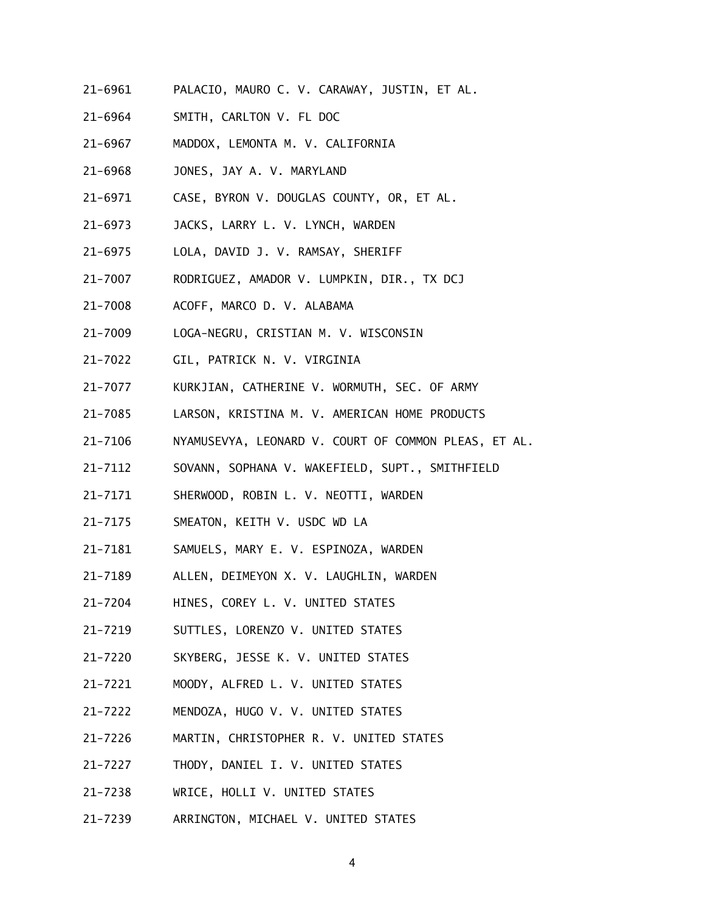- 21-6961 PALACIO, MAURO C. V. CARAWAY, JUSTIN, ET AL.
- 21-6964 SMITH, CARLTON V. FL DOC
- 21-6967 MADDOX, LEMONTA M. V. CALIFORNIA
- 21-6968 JONES, JAY A. V. MARYLAND
- 21-6971 CASE, BYRON V. DOUGLAS COUNTY, OR, ET AL.
- $21 6973$ JACKS, LARRY L. V. LYNCH, WARDEN
- 21-6975 LOLA, DAVID J. V. RAMSAY, SHERIFF
- 21-7007 RODRIGUEZ, AMADOR V. LUMPKIN, DIR., TX DCJ
- 21-7008 ACOFF, MARCO D. V. ALABAMA
- 21-7009 LOGA-NEGRU, CRISTIAN M. V. WISCONSIN
- 21-7022 GIL, PATRICK N. V. VIRGINIA
- 21-7077 KURKJIAN, CATHERINE V. WORMUTH, SEC. OF ARMY
- 21-7085 LARSON, KRISTINA M. V. AMERICAN HOME PRODUCTS
- 21-7106 NYAMUSEVYA, LEONARD V. COURT OF COMMON PLEAS, ET AL.
- 21-7112 SOVANN, SOPHANA V. WAKEFIELD, SUPT., SMITHFIELD
- 21-7171 SHERWOOD, ROBIN L. V. NEOTTI, WARDEN
- 21-7175 SMEATON, KEITH V. USDC WD LA
- 21-7181 SAMUELS, MARY E. V. ESPINOZA, WARDEN
- 21-7189 ALLEN, DEIMEYON X. V. LAUGHLIN, WARDEN
- 21-7204 HINES, COREY L. V. UNITED STATES
- 21-7219 SUTTLES, LORENZO V. UNITED STATES
- 21-7220 SKYBERG, JESSE K. V. UNITED STATES
- $21 7221$ MOODY, ALFRED L. V. UNITED STATES
- 21-7222 MENDOZA, HUGO V. V. UNITED STATES
- 21-7226 MARTIN, CHRISTOPHER R. V. UNITED STATES
- $21 7227$ THODY, DANIEL I. V. UNITED STATES
- 21-7238 WRICE, HOLLI V. UNITED STATES
- 21-7239 ARRINGTON, MICHAEL V. UNITED STATES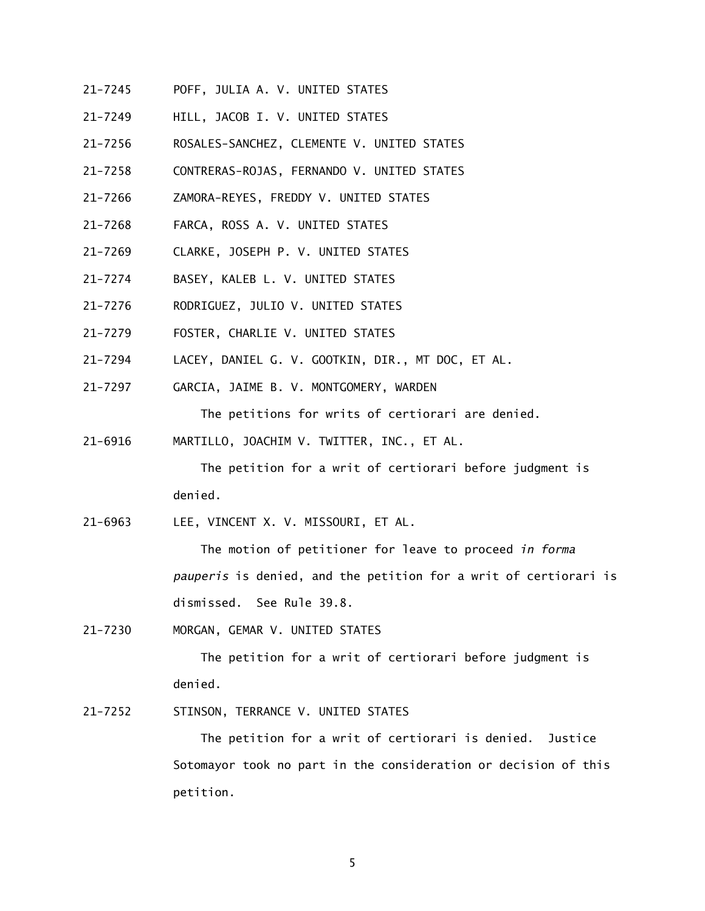- 21-7245 POFF, JULIA A. V. UNITED STATES
- 21-7249 HILL, JACOB I. V. UNITED STATES
- 21-7256 ROSALES-SANCHEZ, CLEMENTE V. UNITED STATES
- 21-7258 CONTRERAS-ROJAS, FERNANDO V. UNITED STATES
- 21-7266 ZAMORA-REYES, FREDDY V. UNITED STATES
- 21-7268 FARCA, ROSS A. V. UNITED STATES
- 21-7269 CLARKE, JOSEPH P. V. UNITED STATES
- 21-7274 BASEY, KALEB L. V. UNITED STATES
- 21-7276 RODRIGUEZ, JULIO V. UNITED STATES
- 21-7279 FOSTER, CHARLIE V. UNITED STATES
- 21-7294 LACEY, DANIEL G. V. GOOTKIN, DIR., MT DOC, ET AL.
- 21-7297 GARCIA, JAIME B. V. MONTGOMERY, WARDEN

The petitions for writs of certiorari are denied.

21-6916 MARTILLO, JOACHIM V. TWITTER, INC., ET AL.

 The petition for a writ of certiorari before judgment is denied.

21-6963 LEE, VINCENT X. V. MISSOURI, ET AL.

 The motion of petitioner for leave to proceed *in forma pauperis* is denied, and the petition for a writ of certiorari is dismissed. See Rule 39.8.

21-7230 MORGAN, GEMAR V. UNITED STATES

 The petition for a writ of certiorari before judgment is denied.

21-7252 STINSON, TERRANCE V. UNITED STATES

 The petition for a writ of certiorari is denied. Justice Sotomayor took no part in the consideration or decision of this petition.

5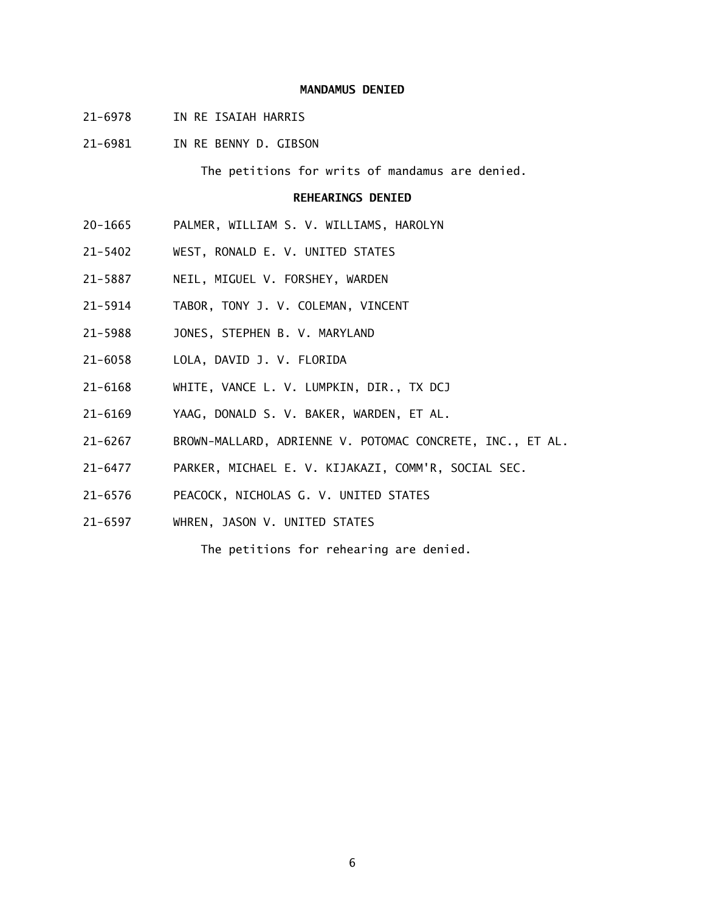## **MANDAMUS DENIED**

- 21-6978 IN RE ISAIAH HARRIS
- 21-6981 IN RE BENNY D. GIBSON

The petitions for writs of mandamus are denied.

## **REHEARINGS DENIED**

- 20-1665 PALMER, WILLIAM S. V. WILLIAMS, HAROLYN
- 21-5402 WEST, RONALD E. V. UNITED STATES
- 21-5887 NEIL, MIGUEL V. FORSHEY, WARDEN
- 21-5914 TABOR, TONY J. V. COLEMAN, VINCENT
- 21-5988 JONES, STEPHEN B. V. MARYLAND
- 21-6058 LOLA, DAVID J. V. FLORIDA
- 21-6168 WHITE, VANCE L. V. LUMPKIN, DIR., TX DCJ
- 21-6169 YAAG, DONALD S. V. BAKER, WARDEN, ET AL.
- 21-6267 BROWN-MALLARD, ADRIENNE V. POTOMAC CONCRETE, INC., ET AL.
- 21-6477 PARKER, MICHAEL E. V. KIJAKAZI, COMM'R, SOCIAL SEC.
- 21-6576 PEACOCK, NICHOLAS G. V. UNITED STATES
- 21-6597 WHREN, JASON V. UNITED STATES

The petitions for rehearing are denied.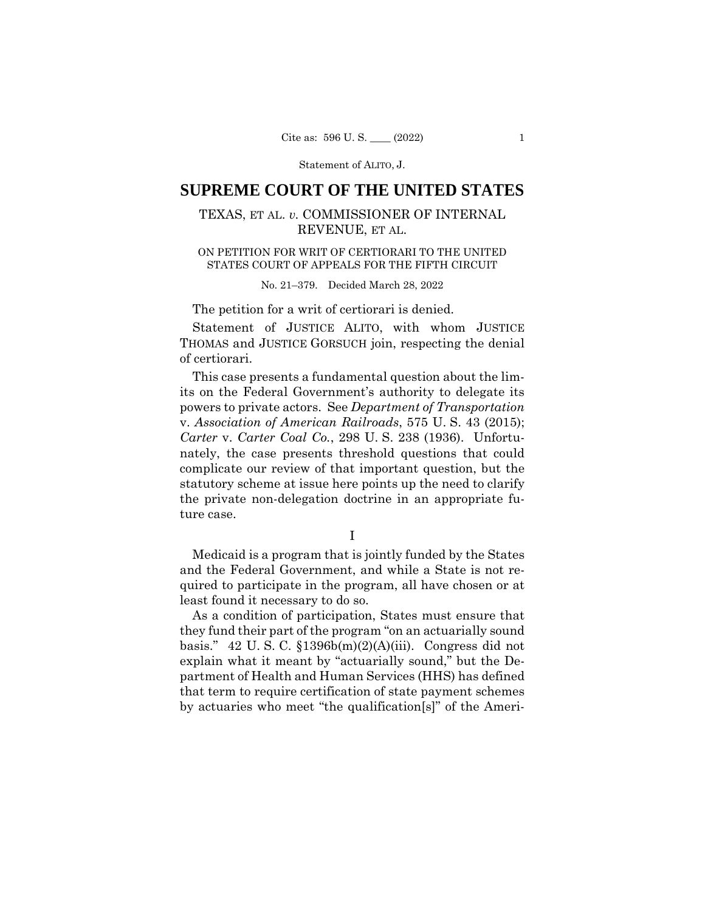Statement of ALITO, J.

# **SUPREME COURT OF THE UNITED STATES**

## TEXAS, ET AL. *v.* COMMISSIONER OF INTERNAL REVENUE, ET AL.

## ON PETITION FOR WRIT OF CERTIORARI TO THE UNITED STATES COURT OF APPEALS FOR THE FIFTH CIRCUIT

## No. 21–379. Decided March 28, 2022

The petition for a writ of certiorari is denied.

Statement of JUSTICE ALITO, with whom JUSTICE THOMAS and JUSTICE GORSUCH join, respecting the denial of certiorari.

This case presents a fundamental question about the limits on the Federal Government's authority to delegate its powers to private actors. See *Department of Transportation*  v. *Association of American Railroads*, 575 U. S. 43 (2015); *Carter* v. *Carter Coal Co.*, 298 U. S. 238 (1936). Unfortunately, the case presents threshold questions that could complicate our review of that important question, but the statutory scheme at issue here points up the need to clarify the private non-delegation doctrine in an appropriate future case.

I

Medicaid is a program that is jointly funded by the States and the Federal Government, and while a State is not required to participate in the program, all have chosen or at least found it necessary to do so.

As a condition of participation, States must ensure that they fund their part of the program "on an actuarially sound basis." 42 U.S.C.  $$1396b(m)(2)(A)(iii)$ . Congress did not explain what it meant by "actuarially sound," but the Department of Health and Human Services (HHS) has defined that term to require certification of state payment schemes by actuaries who meet "the qualification[s]" of the Ameri-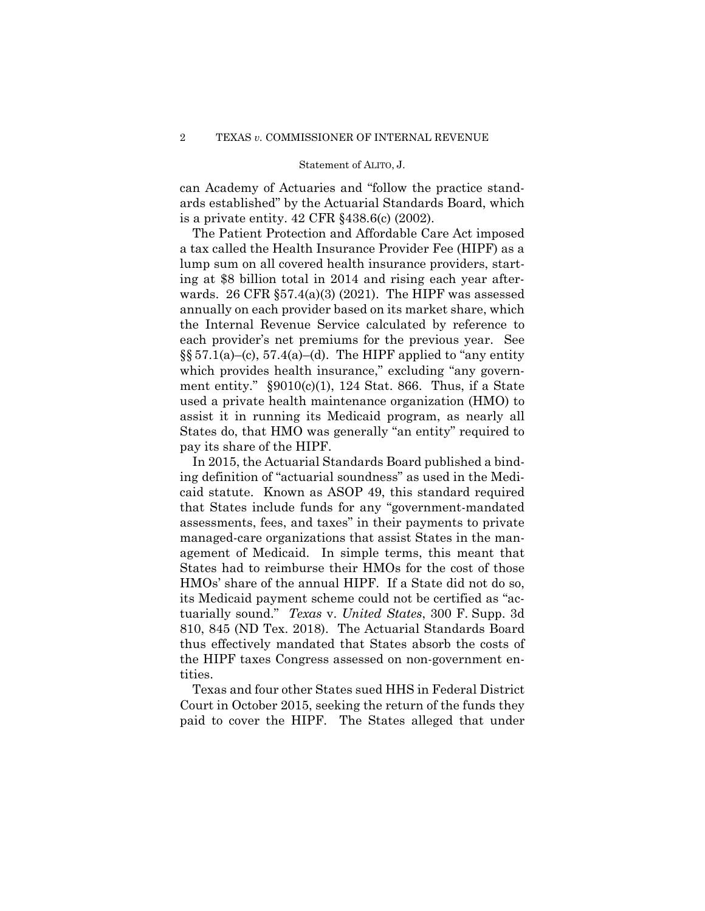### Statement of ALITO, J.

can Academy of Actuaries and "follow the practice standards established" by the Actuarial Standards Board, which is a private entity. 42 CFR §438.6(c) (2002).

The Patient Protection and Affordable Care Act imposed a tax called the Health Insurance Provider Fee (HIPF) as a lump sum on all covered health insurance providers, starting at \$8 billion total in 2014 and rising each year afterwards. 26 CFR  $\S 57.4(a)(3)$  (2021). The HIPF was assessed annually on each provider based on its market share, which the Internal Revenue Service calculated by reference to each provider's net premiums for the previous year. See  $\S$ § 57.1(a)–(c), 57.4(a)–(d). The HIPF applied to "any entity which provides health insurance," excluding "any government entity."  $\S 9010(c)(1)$ , 124 Stat. 866. Thus, if a State used a private health maintenance organization (HMO) to assist it in running its Medicaid program, as nearly all States do, that HMO was generally "an entity" required to pay its share of the HIPF.

In 2015, the Actuarial Standards Board published a binding definition of "actuarial soundness" as used in the Medicaid statute. Known as ASOP 49, this standard required that States include funds for any "government-mandated assessments, fees, and taxes" in their payments to private managed-care organizations that assist States in the management of Medicaid. In simple terms, this meant that States had to reimburse their HMOs for the cost of those HMOs' share of the annual HIPF. If a State did not do so, its Medicaid payment scheme could not be certified as "actuarially sound." *Texas* v. *United States*, 300 F. Supp. 3d 810, 845 (ND Tex. 2018). The Actuarial Standards Board thus effectively mandated that States absorb the costs of the HIPF taxes Congress assessed on non-government entities.

Texas and four other States sued HHS in Federal District Court in October 2015, seeking the return of the funds they paid to cover the HIPF. The States alleged that under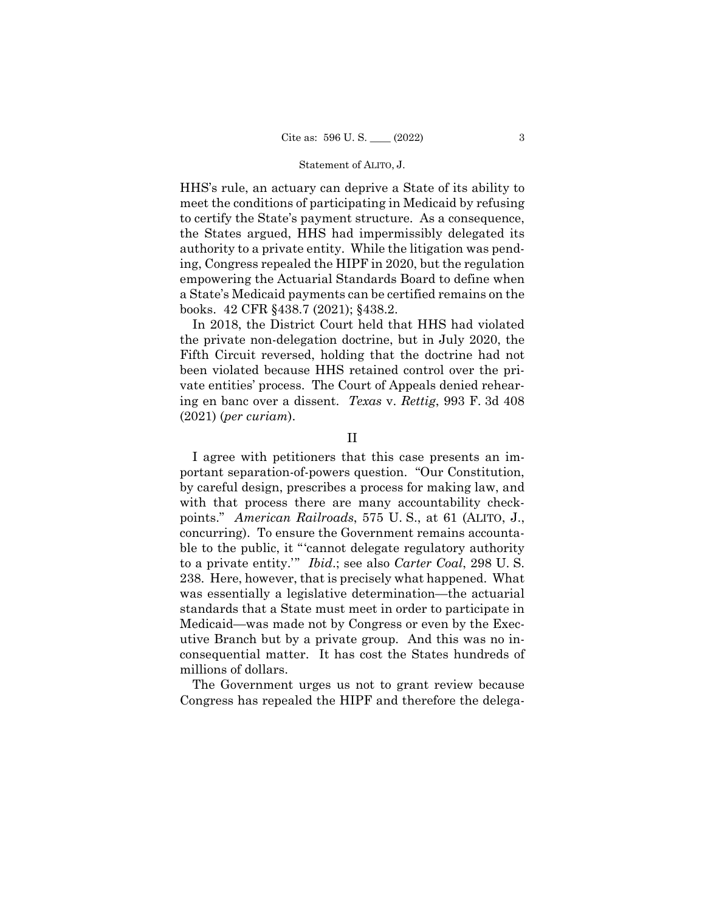### Statement of ALITO, J.

HHS's rule, an actuary can deprive a State of its ability to meet the conditions of participating in Medicaid by refusing to certify the State's payment structure. As a consequence, the States argued, HHS had impermissibly delegated its authority to a private entity. While the litigation was pending, Congress repealed the HIPF in 2020, but the regulation empowering the Actuarial Standards Board to define when a State's Medicaid payments can be certified remains on the books. 42 CFR §438.7 (2021); §438.2.

In 2018, the District Court held that HHS had violated the private non-delegation doctrine, but in July 2020, the Fifth Circuit reversed, holding that the doctrine had not been violated because HHS retained control over the private entities' process. The Court of Appeals denied rehearing en banc over a dissent. *Texas* v. *Rettig*, 993 F. 3d 408 (2021) (*per curiam*).

## II

I agree with petitioners that this case presents an important separation-of-powers question. "Our Constitution, by careful design, prescribes a process for making law, and with that process there are many accountability checkpoints." *American Railroads*, 575 U. S., at 61 (ALITO, J., concurring). To ensure the Government remains accountable to the public, it "'cannot delegate regulatory authority to a private entity.'" *Ibid*.; see also *Carter Coal*, 298 U. S. 238. Here, however, that is precisely what happened. What was essentially a legislative determination—the actuarial standards that a State must meet in order to participate in Medicaid—was made not by Congress or even by the Executive Branch but by a private group. And this was no inconsequential matter. It has cost the States hundreds of millions of dollars.

The Government urges us not to grant review because Congress has repealed the HIPF and therefore the delega-